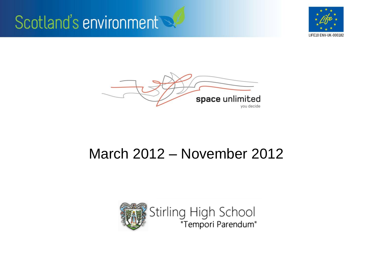





#### March 2012 – November 2012

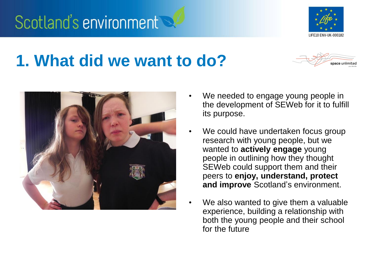#### **1. What did we want to do?**



- We needed to engage young people in the development of SEWeb for it to fulfill its purpose.
- We could have undertaken focus group research with young people, but we wanted to **actively engage** young people in outlining how they thought SEWeb could support them and their peers to **enjoy, understand, protect and improve** Scotland's environment.
- We also wanted to give them a valuable experience, building a relationship with both the young people and their school for the future





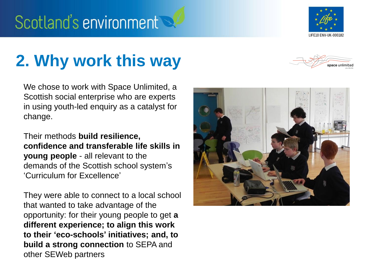

## **2. Why work this way**



We chose to work with Space Unlimited, a Scottish social enterprise who are experts in using youth-led enquiry as a catalyst for change.

Their methods **build resilience, confidence and transferable life skills in young people** - all relevant to the demands of the Scottish school system's 'Curriculum for Excellence'

They were able to connect to a local school that wanted to take advantage of the opportunity: for their young people to get **a different experience; to align this work to their 'eco-schools' initiatives; and, to build a strong connection** to SEPA and other SEWeb partners

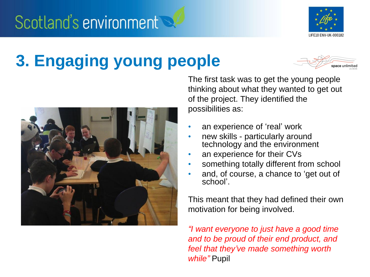

### **3. Engaging young people**





The first task was to get the young people thinking about what they wanted to get out of the project. They identified the possibilities as:

- an experience of 'real' work
- new skills particularly around technology and the environment
- an experience for their CVs
- something totally different from school
- and, of course, a chance to 'get out of school'.

This meant that they had defined their own motivation for being involved.

*"I want everyone to just have a good time and to be proud of their end product, and feel that they've made something worth while"* Pupil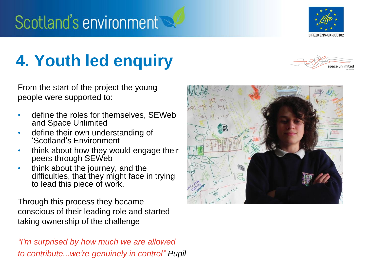

### **4. Youth led enquiry**

From the start of the project the young people were supported to:

- define the roles for themselves, SEWeb and Space Unlimited
- define their own understanding of 'Scotland's Environment
- think about how they would engage their peers through SEWeb
- think about the journey, and the difficulties, that they might face in trying to lead this piece of work.

Through this process they became conscious of their leading role and started taking ownership of the challenge

*"I'm surprised by how much we are allowed to contribute...we're genuinely in control" Pupil*



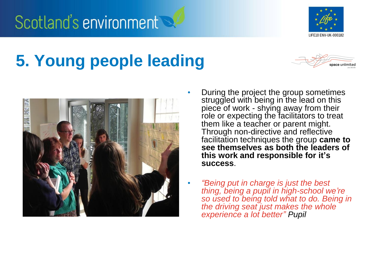

## **5. Young people leading**





- During the project the group sometimes struggled with being in the lead on this piece of work - shying away from their role or expecting the facilitators to treat them like a teacher or parent might. Through non-directive and reflective facilitation techniques the group **came to see themselves as both the leaders of this work and responsible for it's success**.
- *"Being put in charge is just the best thing, being a pupil in high-school we're so used to being told what to do. Being in the driving seat just makes the whole experience a lot better" Pupil*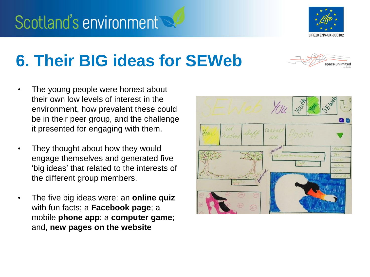

space unlimiter

#### **6. Their BIG ideas for SEWeb**

- The young people were honest about their own low levels of interest in the environment, how prevalent these could be in their peer group, and the challenge it presented for engaging with them.
- They thought about how they would engage themselves and generated five 'big ideas' that related to the interests of the different group members.
- The five big ideas were: an **online quiz**  with fun facts; a **Facebook page**; a mobile **phone app**; a **computer game**; and, **new pages on the website**

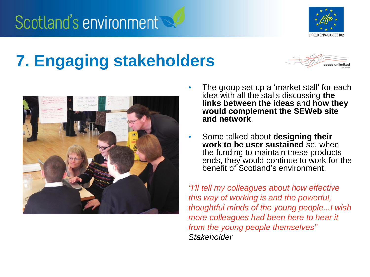

## **7. Engaging stakeholders**





- The group set up a 'market stall' for each idea with all the stalls discussing **the links between the ideas** and **how they would complement the SEWeb site and network**.
- Some talked about **designing their work to be user sustained** so, when the funding to maintain these products ends, they would continue to work for the benefit of Scotland's environment.

*"I'll tell my colleagues about how effective this way of working is and the powerful, thoughtful minds of the young people...I wish more colleagues had been here to hear it from the young people themselves" Stakeholder*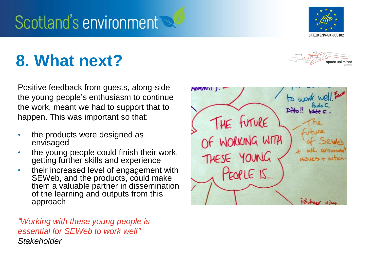

#### **8. What next?**



Positive feedback from guests, along-side the young people's enthusiasm to continue the work, meant we had to support that to happen. This was important so that:

- the products were designed as envisaged
- the young people could finish their work, getting further skills and experience
- their increased level of engagement with SEWeb, and the products, could make them a valuable partner in dissemination of the learning and outputs from this approach

*"Working with these young people is essential for SEWeb to work well" Stakeholder*

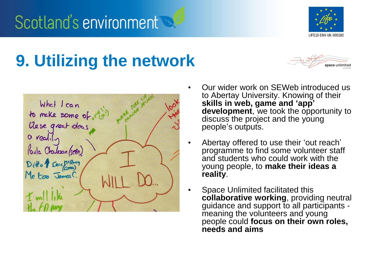

#### **9. Utilizing the network**





- Our wider work on SEWeb introduced us to Abertay University. Knowing of their **skills in web, game and 'app' development**, we took the opportunity to discuss the project and the young people's outputs.
- Abertay offered to use their 'out reach' programme to find some volunteer staff and students who could work with the young people, to **make their ideas a reality**.
- Space Unlimited facilitated this **collaborative working**, providing neutral guidance and support to all participants meaning the volunteers and young people could **focus on their own roles, needs and aims**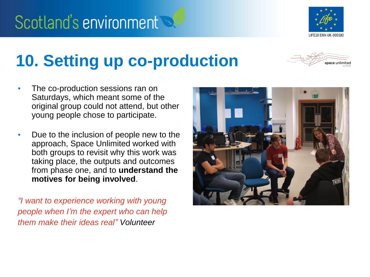

#### **10. Setting up co-production**

- The co-production sessions ran on Saturdays, which meant some of the original group could not attend, but other young people chose to participate.
- Due to the inclusion of people new to the approach, Space Unlimited worked with both groups to revisit why this work was taking place, the outputs and outcomes from phase one, and to **understand the motives for being involved**.

*"I want to experience working with young people when I'm the expert who can help them make their ideas real" Volunteer*

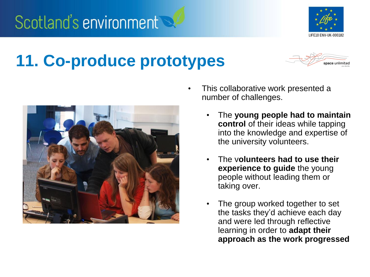

## **11. Co-produce prototypes**





- This collaborative work presented a number of challenges.
	- The **young people had to maintain control** of their ideas while tapping into the knowledge and expertise of the university volunteers.
	- The v**olunteers had to use their experience to guide** the young people without leading them or taking over.
	- The group worked together to set the tasks they'd achieve each day and were led through reflective learning in order to **adapt their approach as the work progressed**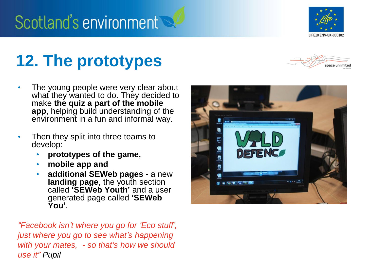

## **12. The prototypes**

- The young people were very clear about what they wanted to do. They decided to make **the quiz a part of the mobile app**, helping build understanding of the environment in a fun and informal way.
- Then they split into three teams to develop:
	- **prototypes of the game,**
	- **mobile app and**
	- **additional SEWeb pages** a new **landing page**, the youth section called **'SEWeb Youth'** and a user generated page called **'SEWeb You'**.

*"Facebook isn't where you go for 'Eco stuff', just where you go to see what's happening with your mates, - so that's how we should use it" Pupil*



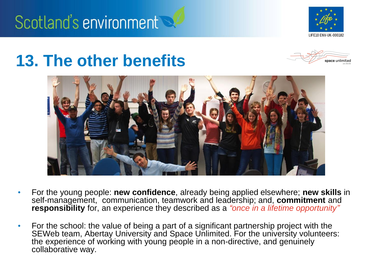

#### **13. The other benefits**





- For the young people: **new confidence**, already being applied elsewhere; **new skills** in self-management, communication, teamwork and leadership; and, **commitment** and **responsibility** for, an experience they described as a *"once in a lifetime opportunity"*
- For the school: the value of being a part of a significant partnership project with the SEWeb team, Abertay University and Space Unlimited. For the university volunteers: the experience of working with young people in a non-directive, and genuinely collaborative way.